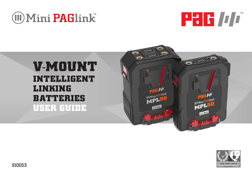







# **V-MOUNT INTELLIGENT LINKING BATTERIES USER GUIDE**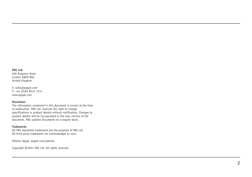#### **PAG Ltd.**

565 Kingston Road London SW20 8SA United Kingdom

E: sales@paguk.com T: +44 (0)20 8543 3131 www.paguk.com

#### **Disclaimer**

The information contained in this document is correct at the time of publication. PAG Ltd. reserves the right to change specifications or product details without notification. Changes to product details will be incorporated in the next version of the document. PAG updates documents on a regular basis.

#### **Trademarks**

All PAG registered trademarks are the property of PAG Ltd. All third party trademarks are acknowledged as such.

Patents Apply: paguk.com/patents

Copyright ©2021 PAG Ltd. All rights reserved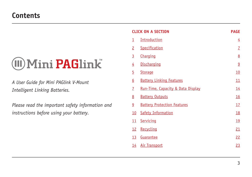# **WMini PAGlink**

*A User Guide for Mini PAGlink V-Mount Intelligent Linking Batteries.*

*Please read the important safety information and instructions before using your battery.*

|                         | <b>CLICK ON A SECTION</b>          | <b>PAGE</b>    |
|-------------------------|------------------------------------|----------------|
| $\overline{\mathbf{1}}$ | <b>Introduction</b>                | $\overline{4}$ |
| $\overline{2}$          | Specification                      | $\overline{1}$ |
| $\overline{3}$          | Charging                           | 8              |
| $\overline{4}$          | <b>Discharging</b>                 | $\overline{9}$ |
| $\overline{5}$          | <b>Storage</b>                     | 10             |
| $\underline{6}$         | <b>Battery Linking Features</b>    | 11             |
| $\overline{1}$          | Run-Time, Capacity & Data Display  | 14             |
| <u>8</u>                | <b>Battery Outputs</b>             | 16             |
| $\overline{6}$          | <b>Battery Protection Features</b> | 17             |
| 10                      | <b>Safety Information</b>          | <u>18</u>      |
| 11                      | Servicing                          | <u>19</u>      |
| 12                      | Recycling                          | <u>21</u>      |
| 13                      | Guarantee                          | 22             |
| <u> 14</u>              | <b>Air Transport</b>               | 23             |
|                         |                                    |                |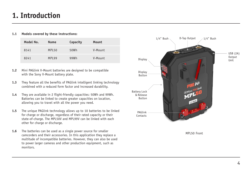### <span id="page-3-0"></span>**1. Introduction**

#### **1.1 Models covered by these instructions:**

| Model No. | Name  | Capacity | Mount   |
|-----------|-------|----------|---------|
| 8141      | MPL50 | 50Wh     | V-Mount |
| 8241      | MPL99 | 99Wh     | V-Mount |

- **1.2** Mini PAGlink V-Mount batteries are designed to be compatible with the Sony V-Mount battery plate.
- **1.3** They feature all the benefits of PAGlink intelligent linking technology combined with a reduced form factor and increased durability.
- **1.4** They are available in 2 flight-friendly capacities: 50Wh and 99Wh. Batteries can be linked to create greater capacities on location, allowing you to travel with all the power you need.
- **1.5** The unique PAGlink technology allows up to 10 batteries to be linked for charge or discharge, regardless of their rated capacity or their state-of-charge. The MPL50V and MPL99V can be linked with each other for charge or discharge.
- **1.6** The batteries can be used as a single power source for smaller camcorders and their accessories. In this application they replace a multitude of incompatible batteries. However, they can also be used to power larger cameras and other production equipment, such as monitors.

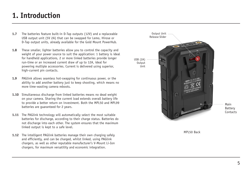# **1. Introduction**

- **1.7** The batteries feature built-in D-Tap outputs (12V) and a replaceable USB output unit (5V 2A) that can be swapped for Lemo, Hirose or D-Tap output units, already available for the Gold Mount PowerHub.
- **1.8** These smaller, lighter batteries allow you to control the capacity and weight of your power source to suit the application: 1 battery is ideal for handheld applications, 2 or more linked batteries provide longer run-time or an increased current draw of up to 12A, ideal for powering multiple accessories. Current is delivered using superior, high-current pin contacts.
- **1.9** PAGlink allows seamless hot-swapping for continuous power, or the ability to add another battery just to keep shooting, which means no more time-wasting camera reboots.
- **1.10** Simultaneous discharge from linked batteries means no dead weight on your camera. Sharing the current load extends overall battery life to provide a better return on investment. Both the MPL50 and MPL99 batteries are guaranteed for 2 years.
- **1.11** The PAGlink technology will automatically select the most suitable batteries for discharge, according to their charge status. Batteries do not discharge into each other. The system ensures that the maximum linked output is kept to a safe level.
- **1.12** The intelligent PAGlink batteries manage their own charging safely and efficiently, and can be charged, whilst linked, using PAGlink chargers, as well as other reputable manufacturer's V-Mount Li-Ion chargers, for maximum versatility and economic integration.



MPL50 Back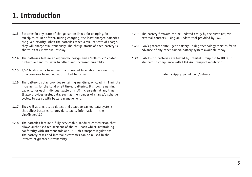# **1. Introduction**

- **1.13** Batteries in any state of charge can be linked for charging, in multiples of 10 or fewer. During charging, the least-charged batteries are given priority. When the batteries reach a similar state of charge, they will charge simultaneously. The charge status of each battery is shown on its individual display.
- **1.14** The batteries feature an ergonomic design and a 'soft-touch' coated protective band for safer handling and increased durability.
- **1.15** 1/4" bush inserts have been incorporated to enable the mounting of accessories to individual or linked batteries.
- **1.16** The battery display provides remaining run-time, on-load, in 1 minute increments, for the total of all linked batteries. It shows remaining capacity for each individual battery in 1% increments, at any time. It also provides useful data, such as the number of charge/discharge cycles, to assist with battery management.
- 1.17 They will automatically detect and adapt to camera data systems that allow batteries to provide capacity information in the viewfinder/LCD.
- **1.18** The batteries feature a fully-serviceable, modular construction that allows authorised replacement of the cell-pack whilst maintaining conformity with UN standards and IATA air transport regulations. The battery cases and internal electronics can be reused in the interest of greater sustainability.
- **1.19** The battery firmware can be updated easily by the customer, via external contacts, using an update tool provided by PAG.
- **1.20** PAG's patented intelligent battery linking technology remains far in advance of any other camera battery system available today.
- **1.21** PAG Li-Ion batteries are tested by Intertek Group plc to UN 38.3 standard in compliance with IATA Air Transport regulations.

[Patents Apply: paguk.com/patents](https://www.paguk.com/patents)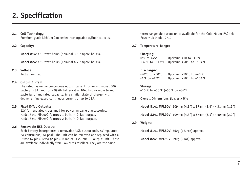# <span id="page-6-0"></span>**2. Specification**

### **2.1 Cell Technology:**

Premium-grade Lithium-Ion sealed rechargeable cylindrical cells.

### **2.2 Capacity:**

**Model 8141:** 50 Watt-hours (nominal 3.5 Ampere-hours).

**Model 8241:** 99 Watt-hours (nominal 6.7 Ampere-hours).

#### **2.3 Voltage:**

14.8V nominal.

### **2.4 Output Current:**

The rated maximum continuous output current for an individual 50Wh battery is 8A, and for a 99Wh battery it is 10A. Two or more linked batteries of any rated capacity, in a similar state of charge, will deliver an increased continuous current of up to 12A.

### **2.5 Fixed D-Tap Outputs:**

12V (unregulated), designed for powering camera accessories. Model 8141 MPL50G features 1 built-in D-Tap output. Model 8241 MPL99G features 2 built-in D-Tap outputs.

### **2.6 Removable USB Output:**

Each battery incorporates 1 removable USB output unit, 5V regulated, 2A continuous, 3A peak. The unit can be removed and replaced with a Hirose (4-pin), Lemo (2-pin), D-Tap or a 2.1mm DC output unit. These are available individually from PAG or its resellers. They are the same

interchangeable output units available for the Gold Mount PAGlink PowerHub Model 9712.

### **2.7 Temperature Range:**

### Charging:<br>0°C to +45°C

Optimum  $+10$  to  $+40^{\circ}$ C +32°F to +113°F Optimum +50°F to +104°F

### **Discharging:**

-20°C to +50°C Optimum +10°C to +40°C -4°F to +122°F Optimum +50°F to +104°F

**Storage:** +10°C to +30°C (+50°F to +86°F).

### **2.8 Overall Dimensions (L x W x H):**

**Model 8141 MPL50V**: 109mm (4.3") x 87mm (3.4") x 31mm (1.2")

**Model 8241 MPL99V**: 109mm (4.3") x 87mm (3.4") x 50mm (2.0")

#### **2.9 Weight:**

**Model 8141 MPL50V:** 360g (12.7oz) approx.

**Model 8241 MPL99V:** 590g (21oz) approx.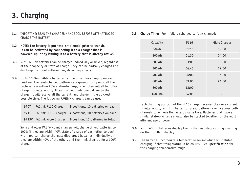# <span id="page-7-0"></span>**3. Charging**

- **3.1** IMPORTANT: READ THE CHARGER HANDBOOK BEFORE ATTEMPTING TO CHARGE THE BATTERY.
- **3.2 NOTE: The battery is put into 'ship mode' prior to transit. It can be activated by connecting it to a charger that is powered-up, or by linking it to a battery that is already active.**
- **3.3** Mini PAGlink batteries can be charged individually or linked, regardless of their capacity or state of charge. They can be partially charged and discharged without suffering any damaging effects.
- **3.4** Up to 10 Mini PAGlink batteries can be linked for charging on each position. The least-charged batteries are given priority until all the batteries are within 20% state-of-charge, when they will all be fullycharged simultaneously. If you connect only one battery to the charger it will receive all the current, and charge in the quickest possible time. The following PAGlink chargers can be used:

| 9707  | PAGlink PL16 Charger  | 2-positions, 10 batteries on each                       |
|-------|-----------------------|---------------------------------------------------------|
| 9711  |                       | PAGlink PL16+ Charger 4-positions, 10 batteries on each |
| 9713V | PAGlink Micro Charger | 1-position, 10 batteries in total                       |

Sony and older PAG V-Mount chargers will charge linked batteries to 100% if they are within 40% state-of-charge of each other to begin with. You can charge the most-discharged batteries individually until they are within 40% of the others and then link them up for a 100% charge.

**3.5 Charge Times:** From fully-discharged to fully-charged:

| Capacity | <b>PL16</b> | Micro Charger |
|----------|-------------|---------------|
| 50Wh     | 01:15       | 02:00         |
| 100Wh    | 01:30       | 04:00         |
| 200Wh    | 03:00       | 08:00         |
| 300Wh    | 04:45       | 12:00         |
| 400Wh    | 06:00       | 16:00         |
| 600Wh    | 09:00       | 24:00         |
| 800Wh    | 12:00       |               |
| 1600Wh   | 24:00       |               |

Each charging position of the PL16 charger receives the same current simultaneously and it is better to spread batteries evenly across both channels to achieve the fastest charge time. Batteries that have a similar state-of-charge should also be stacked together for the most efficient use of power.

- **3.6** Mini PAGlink batteries display their individual status during charging on their built-in display.
- **3.7** The batteries incorporate a temperature sensor which will inhibit charging if their temperature is below 0°C. See **Specification** for the charging temperature range.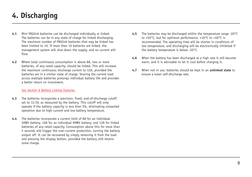# <span id="page-8-0"></span>**4. Discharging**

- **4.1** Mini PAGlink batteries can be discharged individually or linked. The batteries can be in any state of charge for linked discharging. The maximum number of PAGlink batteries that may be linked has been limited to 10. If more than 10 batteries are linked, the management system will shut-down the supply, and no current will flow.
- **4.2** Where total continuous consumption is above 8A, two or more batteries, of any rated capacity, should be linked. This will increase the maximum continuous discharge current to 12A, provided the batteries are in a similar state of charge. Sharing the current load across multiple batteries prolongs individual battery life and provides a better return on investment.

#### *[See Section 6 Battery Linking Features.](#page-10-0)*

- **4.3** The batteries incorporate a precision, fixed, end-of-discharge cutoff, set to 12.5V, as measured by the battery. This cutoff will only operate if the battery capacity is less than 5%, eliminating unwanted operation due to high current and low battery temperature.
- **4.4** The batteries incorporate a current limit of 8A for an individual 50Wh battery, 10A for an individual 99Wh battery, and 12A for linked batteries of any rated capacity. Consumption above this for more than 5 seconds will trigger the over-current protection, turning the battery output off. It can be recovered by simply removing it from the load and pressing the display button, provided the battery still retains some charge.
- **4.5** The batteries may be discharged within the temperature range -20°C to +50°C, but for optimum performance, +10°C to +40°C is recommended. The operating time will be shorter in conditions of low temperature, and discharging will be electronically inhibited if the battery temperature is below -20°C.
- **4.6** When the battery has been discharged at a high rate it will become warm, and it is advisable to let it cool before charging it.
- **4.7** When not in use, batteries should be kept in an **unlinked state** to ensure a lower self-discharge rate.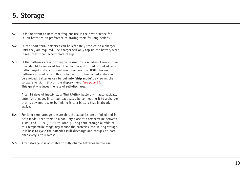### <span id="page-9-0"></span>**5. Storage**

- **5.1** It is important to note that frequent use is the best practice for Li-Ion batteries, in preference to storing them for long periods.
- **5.2** In the short term, batteries can be left safely stacked on a charger until they are required. The charger will only top-up the battery when it sees that it can accept more charge.
- **5.3** If the batteries are not going to be used for a number of weeks then they should be removed from the charger and stored, unlinked, in a half-charged state, at normal room temperature. NOTE: Leaving batteries unused, in a fully-discharged or fully-charged state should be avoided. Batteries can be put into **'ship mode'** by viewing the software version (Sft) on the display menu *[\(see page 15\).](#page-14-0)* This greatly reduces the rate of self-discharge.

After 14 days of inactivity, a Mini PAGlink battery will automatically enter 'ship mode'. It can be reactivated by connecting it to a charger that is powered-up, or by linking it to a battery that is already active.

- **5.4** For long-term storage, ensure that the batteries are unlinked and in 'ship mode'. Keep them in a cool, dry place at a temperature between +10°C and +30°C (+50°F to +86°F). Long-term storage outside of this temperature range may reduce the batteries' life. During storage, it is best to cycle the batteries (full-discharge and charge) at least once every 4 to 6 weeks.
- **5.5** After storage it is advisable to fully-charge batteries before use.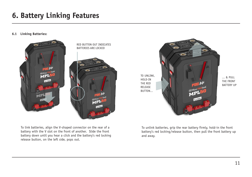# <span id="page-10-0"></span>**6. Battery Linking Features**

### **6.1 Linking Batteries:**



To link batteries, align the V-shaped connector on the rear of a battery with the V slot on the front of another. Slide the front battery down until you hear a click and the battery's red locking release button, on the left side, pops out.



... & PULL THE FRONT BATTERY UP

To unlink batteries, grip the rear battery firmly, hold-in the front battery's red locking/release button, then pull the front battery up and away.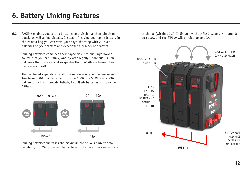# **6. Battery Linking Features**

**6.2** PAGlink enables you to link batteries and discharge them simultaneously as well as individually. Instead of leaving your spare battery in the camera bag you can start your day's shooting with 2 linked batteries on your camera and experience a number of benefits.

Linking batteries combines their capacities into one large power source that you can unlink, and fly with legally. Individual Li-Ion batteries that have capacities greater than 160Wh are banned from passenger aircraft.

The combined capacity extends the run-time of your camera set-up. Two linked 50Wh batteries will provide 100Wh; a 50Wh and a 99Wh battery linked will provide 149Wh; two 99Wh batteries will provide 198Wh.



Linking batteries increases the maximum continuous current draw capability to 12A, provided the batteries linked are in a similar state of charge (within 20%). Individually, the MPL50 battery will provide up to 8A, and the MPL99 will provide up to 10A.

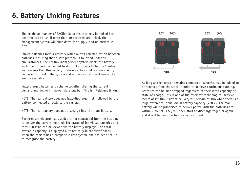# **6. Battery Linking Features**

The maximum number of PAGlink batteries that may be linked has been limited to 10. If more than 10 batteries are linked, the management system will shut-down the supply, and no current will flow.

Linked batteries form a network which allows communication between batteries, ensuring that a safe protocol is followed under all circumstances. The PAGlink management system elects the battery with one or more connected to its front contacts to be the 'master' and ensures that this battery is always active (but not necessarily delivering current). The system makes the most efficient use of the energy available.

Fully-charged batteries discharge together sharing the current demand and delivering power via a bus bar. This is intelligent linking.

NOTE: The rear battery does not fully-discharge first, followed by the battery connected directly to the camera.

NOTE: The rear battery does not discharge into the front battery.

Batteries are electronically added to, or subtracted from the bus bar, to deliver the current required. The status of individual batteries and total run-time can be viewed via the battery displays. The total available capacity is displayed automatically in the viewfinder/LCD, when the camera has a compatible data system and has been set-up to recognise the battery.



As long as the 'master' remains connected, batteries may be added to or removed from the stack in order to achieve continuous running. Batteries can be 'hot-swapped' regardless of their rated capacity or state-of-charge. This is one of the foremost technological achievements of PAGlink. Current delivery will remain at 10A while there is a large difference in individual battery capacity (>20%). The rear battery will be prioritised to deliver power until the batteries are within 20% SoC. They will then start to discharge together again, and it will be possible to draw more current.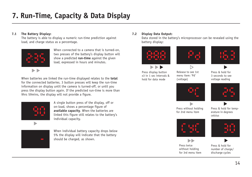# <span id="page-13-0"></span>**7. Run-Time, Capacity & Data Display**

### **7.1 The Battery Display:**

The battery is able to display a numeric run-time prediction against load, and charge status as a percentage.



When connected to a camera that is turned-on two presses of the battery's display button will show a predicted **run-time** against the given load, expressed in hours and minutes.

When batteries are linked the run-time displayed relates to the **total** for the connected batteries. 3 button presses will keep the run-time information on display until the camera is turned-off, or until you press the display button again. If the predicted run-time is more than 9hrs 59mins, the display will not provide a figure.



A single button press of the display, off or on-load, shows a percentage figure of **available capacity**. When the batteries are linked this figure still relates to the battery's individual capacity.



When individual battery capacity drops below 5% the display will indicate that the battery should be charged, as shown.

### **7.2 Display Data Output:**

Data stored in the battery's microprocessor can be revealed using the battery display:







Press display button x3 in 1 sec intervals & hold for data mode

Release to see 1st menu item: 'Pd' (voltage)

Press & hold for 3 seconds to see voltage reading





Press without holding for 2nd menu item

Press & hold for temperature in degrees celsius



Press twice without holding for 3rd menu item



Press & hold for number of charge/ discharge cycles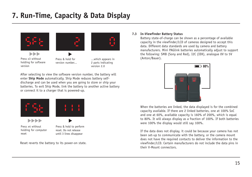# <span id="page-14-0"></span>**7. Run-Time, Capacity & Data Display**





**ND** Press x3 without holding for software version

Press & hold for version number...

...which appears in 2 parts indicating version 2.0

After selecting to view the software version number, the battery will enter **Ship Mode** automatically. Ship Mode reduces battery selfdischarge and can be used when you are going to store or ship your batteries. To exit Ship Mode, link the battery to another active battery or connect it to a charger that is powered-up.



**NDN** 



Press x4 without holding for computer reset

Press & hold to perform reset. Do not release until 3 lines disappear

Reset reverts the battery to its power-on state.

### **7.3 In-Viewfinder Battery Status**

Battery state-of-charge can be shown as a percentage of available capacity in the viewfinder/LCD of cameras designed to accept this data. Different data standards are used by camera and battery manufacturers. Mini PAGlink batteries automatically adjust to support the following: SMB (Sony and Red), I2C (IDX), analogue 0V to 5V (Anton/Bauer).



When the batteries are linked, the data displayed is for the combined capacity available. If there are 2 linked batteries, one at 100% SoC and one at 60%, available capacity is 160% of 200%, which is equal to 80%. It will always display as a fraction of 100%. If both batteries were 100% the display would still say 100%.

If the data does not display, it could be because your camera has not been set-up to communicate with the battery, or the camera mount does not have the required contacts to deliver the information to the viewfinder/LCD. Certain manufacturers do not include the data pins in their V-Mount connectors.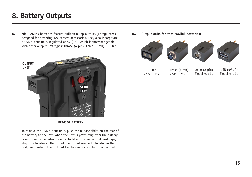# <span id="page-15-0"></span>**8. Battery Outputs**

**8.1** Mini PAGlink batteries feature built-in D-Tap outputs (unregulated) designed for powering 12V camera accessories. They also incorporate a USB output unit, regulated at 5V (2A), which is interchangeable with other output unit types: Hirose (4-pin), Lemo (2-pin) & D-Tap.



#### **REAR OF BATTERY**

To remove the USB output unit, push the release slider on the rear of the battery to the left. When the unit is protruding from the battery case it can be pulled-out easily. To fit a different output unit type, align the locator at the top of the output unit with locator in the port, and push-in the unit until a click indicates that it is secured.

**8.2 Output Units for Mini PAGlink batteries:**



D-Tap Model 9712D Hirose (4-pin) Model 9712H

Model 9712L

USB (5V 2A) Model 9712U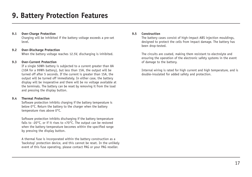### <span id="page-16-0"></span>**9.1 Over-Charge Protection**

Charging will be inhibited if the battery voltage exceeds a pre-set level.

### **9.2 Over-Discharge Protection**

When the battery voltage reaches 12.5V, discharging is inhibited.

### **9.3 Over-Current Protection**

If a single 50Wh battery is subjected to a current greater than 8A (10A for a 99Wh battery), but less than 15A, the output will be turned off after 5 seconds. If the current is greater than 15A, the output will be turned off immediately. In either case, the battery display will be inoperative and there will be no voltage available at the terminals. The battery can be reset by removing it from the load and pressing the display button.

### **9.4 Thermal Protection**

Software protection inhibits charging if the battery temperature is below 0°C. Return the battery to the charger when the battery temperature rises above 0°C.

Software protection inhibits discharging if the battery temperature falls to -20°C, or if it rises to +70°C. The output can be restored when the battery temperature becomes within the specified range by pressing the display button.

A thermal fuse is incorporated within the battery construction as a 'backstop' protection device, and this cannot be reset. In the unlikely event of this fuse operating, please contact PAG or your PAG reseller.

#### **9.5 Construction**

The battery cases consist of high-impact ABS injection mouldings, designed to protect the cells from impact damage. The battery has been drop-tested.

The circuits are coated, making them resistant to electrolyte and ensuring the operation of the electronic safety systems in the event of damage to the battery.

Internal wiring is rated for high current and high temperature, and is double-insulated for added safety and protection.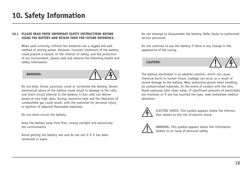### <span id="page-17-0"></span>**10.1 PLEASE READ THESE IMPORTANT SAFETY INSTRUCTIONS BEFORE USING THE BATTERY AND RETAIN THEM FOR FUTURE REFERENCE.**

When used correctly, Lithium-Ion batteries are a rugged and safe method of storing power. However, incorrect treatment of the battery could present a hazard. In the interest of safety, and the protection of our environment, please read and observe the following health and safety information.

#### **WARNING:**



Do not drop, throw, puncture, crush or incinerate the battery. Severe mechanical abuse of the battery could result in damage to the cells, and short-circuit internal to the battery. Li-Ion cells can deliver power at very high rates. Arcing, excessive heat and the liberation of combustible gas could result, with the potential for personal injury or ignition of adjacent flammable materials.

Do not short-circuit the battery.

Keep the battery away from fires, strong sunlight and excessively hot environments.

Avoid getting the battery wet and do not use it if it has been immersed in water.

Do not attempt to disassemble the battery. Refer faults to authorised service personnel.

Do not continue to use the battery if there is any change in the appearance of the casing.

**CAUTION:**



The battery electrolyte is an alkaline solution, which can cause chemical burns to human tissue. Leakage can occur as a result of severe damage to the battery. Wear protective gloves when handling all contaminated materials. In the event of contact with the skin, flood copiously with clean water. If significant amounts of electrolyte are involved, or if any has touched the eyes, seek immediate medical attention.



ELECTRIC SHOCK: This symbol appears where the information relates to the risk of electric shock.



WARNING: This symbol appears where the information relates to an issue of personal safety.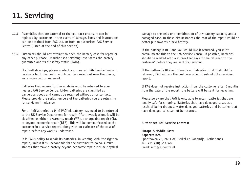# <span id="page-18-0"></span>**11. Servicing**

- **11.1** Assemblies that are external to the cell-pack enclosure can be replaced by customers in the event of damage. Parts and instructions can be obtained from PAG Ltd. or from an authorised PAG Service Centre (listed at the end of this section).
- **11.2** Customers should not attempt to open the battery case for repair or any other purpose. Unauthorised servicing invalidates the battery guarantee and its air safety status (IATA).

If a fault develops, please contact your nearest PAG Service Centre to receive a fault diagnosis, which can be carried out over the phone, via a video call or via email.

Batteries that require further analysis must be returned to your nearest PAG Service Centre. Li-Ion batteries are classified as dangerous goods and cannot be returned without prior contact. Please provide the serial numbers of the batteries you are returning for servicing in advance.

For an initial period, a Mini PAGlink battery may need to be returned to the UK Service Department for repair. After investigation, it will be classified as either: a warranty repair (WR), a chargeable repair (CR), or beyond economic repair (BER). This will be communicated to the customer in a service report, along with an estimate of the cost of repair, before any work is undertaken.

It is PAG's policy to repair its batteries, in keeping with 'the right to repair', unless it is uneconomic for the customer to do so. Circumstances that make a battery beyond economic repair include physical damage to the cells or a combination of low battery capacity and a damaged case. In these circumstances the cost of the repair would be better put towards a new battery.

If the battery is BER and you would like it returned, you must communicate this to the PAG Service Centre. If possible, batteries should be marked with a sticker that says "to be returned to the customer" before they are sent for servicing.

If the battery is BER and there is no indication that it should be returned, PAG will ask the customer when it submits the servicing report.

If PAG does not receive instruction from the customer after 6 months from the date of the report, the battery will be sent for recycling.

Please be aware that PAG is only able to return batteries that are legally safe for shipping. Batteries that have damaged cases as a result of being dropped, water-damaged batteries and batteries that have damaged cells cannot be returned.

#### **Authorised PAG Service Centres:**

#### **Europe & Middle East: Aspectra B.V.**

Spoorhaven 78, 2651 AV, Berkel en Rodenrijs, Netherlands Tel: +31 (10) 5140680 Email: info@aspectra.nl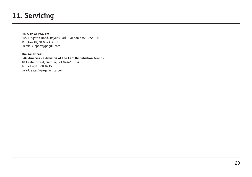# **11. Servicing**

### **UK & RoW: PAG Ltd.**

565 Kingston Road, Raynes Park, London SW20 8SA, UK Tel: +44 (0)20 8543 3131 Email: support@paguk.com

**The Americas: PAG America (a division of the Carr Distribution Group)** 18 Center Street, Ramsey, NJ 07446, USA Tel: +1 631 300 8215 Email: sales@pagamerica.com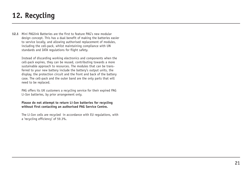# <span id="page-20-0"></span>**12. Recycling**

**12.1** Mini PAGlink Batteries are the first to feature PAG's new modular design concept. This has a dual benefit of making the batteries easier to service locally, and allowing authorised replacement of modules, including the cell-pack, whilst maintaining compliance with UN standards and IATA regulations for flight safety.

Instead of discarding working electronics and components when the cell-pack expires, they can be reused, contributing towards a more sustainable approach to resources. The modules that can be transferred to your new battery include the battery's output units, the display, the protection circuit and the front and back of the battery case. The cell-pack and the outer band are the only parts that will need to be replaced.

PAG offers its UK customers a recycling service for their expired PAG Li-Ion batteries, by prior arrangement only.

#### **Please do not attempt to return Li-Ion batteries for recycling without first contacting an authorised PAG Service Centre.**

The Li-Ion cells are recycled in accordance with EU regulations, with a 'recycling efficiency' of 59.3%.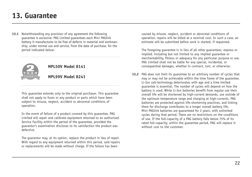### <span id="page-21-0"></span>**13. Guarantee**

**13.1** Notwithstanding any provision of any agreement the following guarantee is exclusive: PAG Limited guarantees each Mini PAGlink battery it manufactures to be free of defects in material and workmanship, under normal use and service, from the date of purchase, for the period indicated below:



### **MPL50V Model 8141**

**MPL99V Model 8241**

This guarantee extends only to the original purchaser. This guarantee shall not apply to fuses or any product or parts which have been subject to misuse, neglect, accident or abnormal conditions of operation.

In the event of failure of a product covered by this guarantee, PAG Limited will repair and calibrate equipment returned to an authorised Service Facility within the period of the guarantee, provided the guarantor's examination discloses to its satisfaction the product was defective.

The guarantor may, at its option, replace the product in lieu of repair. With regard to any equipment returned within this period, said repairs or replacements will be made without charge. If the failure has been

caused by misuse, neglect, accident or abnormal conditions of operation, repairs will be billed at a nominal cost. In such a case, an estimate will be submitted before work is started, if requested.

The foregoing guarantee is in lieu of all other guarantees, express or implied, including but not limited to any implied guarantee or merchantability, fitness or adequacy for any particular purpose or use. PAG Limited shall not be liable for any special, incidental, or consequential damages, whether in contract, tort, or otherwise.

**13.2** PAG does not limit its guarantee to an arbitrary number of cycles that may or may not be achievable within the time frame of the guarantee. Li-Ion cell-technology deteriorates with age and a time limited guarantee is essential. The number of cycles will depend on how the battery is used. While Li-Ion batteries benefit from regular use their overall life will be shortened by high-current demands, use outside of the optimum temperature range and charging at high-currents. PAG batteries are protected against life-shortening practices, and linking them for discharge contributes to a longer overall battery life. Mini PAGlink batteries are guaranteed for 2 years, with unlimited cycles during that period. There are no restrictions on the conditions of use. If the full-capacity of a PAG battery falls below 75% of its rated full-capacity, within the guarantee period, PAG will replace it without cost to the customer.